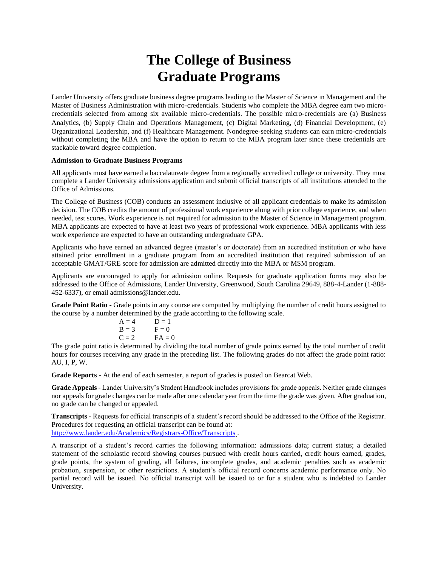## **The College of Business Graduate Programs**

Lander University offers graduate business degree programs leading to the Master of Science in Management and the Master of Business Administration with micro-credentials. Students who complete the MBA degree earn two microcredentials selected from among six available micro-credentials. The possible micro-credentials are (a) Business Analytics, (b) Supply Chain and Operations Management, (c) Digital Marketing, (d) Financial Development, (e) Organizational Leadership, and (f) Healthcare Management. Nondegree-seeking students can earn micro-credentials without completing the MBA and have the option to return to the MBA program later since these credentials are stackable toward degree completion.

## **Admission to Graduate Business Programs**

All applicants must have earned a baccalaureate degree from a regionally accredited college or university. They must complete a Lander University admissions application and submit official transcripts of all institutions attended to the Office of Admissions.

The College of Business (COB) conducts an assessment inclusive of all applicant credentials to make its admission decision. The COB credits the amount of professional work experience along with prior college experience, and when needed, test scores. Work experience is not required for admission to the Master of Science in Management program. MBA applicants are expected to have at least two years of professional work experience. MBA applicants with less work experience are expected to have an outstanding undergraduate GPA.

Applicants who have earned an advanced degree (master's or doctorate) from an accredited institution or who have attained prior enrollment in a graduate program from an accredited institution that required submission of an acceptable GMAT/GRE score for admission are admitted directly into the MBA or MSM program.

Applicants are encouraged to apply for admission online. Requests for graduate application forms may also be addressed to the Office of Admissions, Lander University, Greenwood, South Carolina 29649, 888-4-Lander (1-888- 452-6337), or email admissions@lander.edu.

**Grade Point Ratio** - Grade points in any course are computed by multiplying the number of credit hours assigned to the course by a number determined by the grade according to the following scale.

| $A = 4$ | $D=1$    |
|---------|----------|
| $B = 3$ | $F = 0$  |
| $C = 2$ | $FA = 0$ |
|         |          |

The grade point ratio is determined by dividing the total number of grade points earned by the total number of credit hours for courses receiving any grade in the preceding list. The following grades do not affect the grade point ratio: AU, I, P, W.

**Grade Reports** - At the end of each semester, a report of grades is posted on Bearcat Web.

**Grade Appeals** - Lander University's Student Handbook includes provisions for grade appeals. Neither grade changes nor appeals for grade changes can be made after one calendar year from the time the grade was given. After graduation, no grade can be changed or appealed.

**Transcripts** - Requests for official transcripts of a student's record should be addressed to the Office of the Registrar. Procedures for requesting an official transcript can be found at: <http://www.lander.edu/Academics/Registrars-Office/Transcripts> .

A transcript of a student's record carries the following information: admissions data; current status; a detailed statement of the scholastic record showing courses pursued with credit hours carried, credit hours earned, grades, grade points, the system of grading, all failures, incomplete grades, and academic penalties such as academic probation, suspension, or other restrictions. A student's official record concerns academic performance only. No partial record will be issued. No official transcript will be issued to or for a student who is indebted to Lander University.